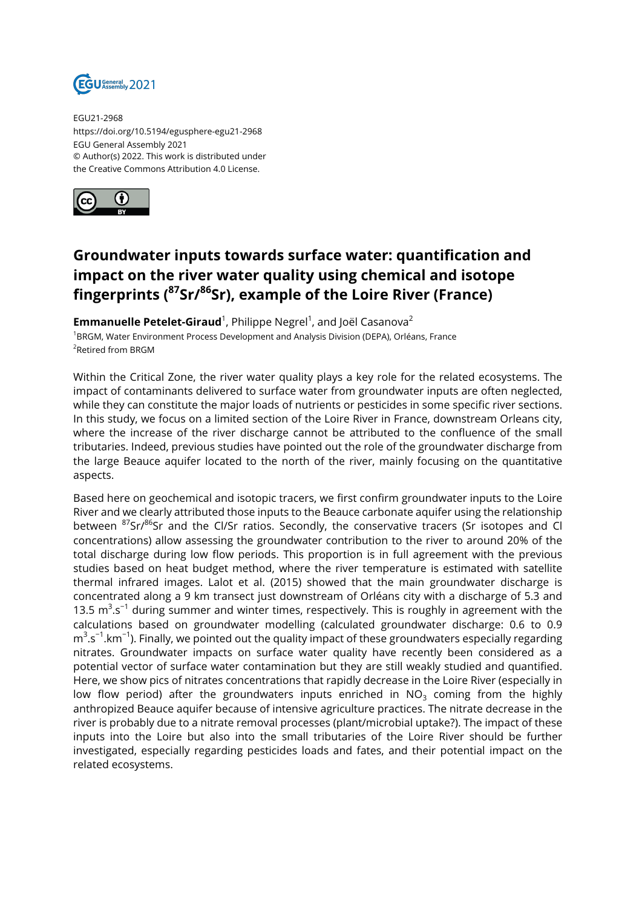

EGU21-2968 https://doi.org/10.5194/egusphere-egu21-2968 EGU General Assembly 2021 © Author(s) 2022. This work is distributed under the Creative Commons Attribution 4.0 License.



## **Groundwater inputs towards surface water: quantification and impact on the river water quality using chemical and isotope fingerprints (<sup>87</sup>Sr/<sup>86</sup>Sr), example of the Loire River (France)**

**Emmanuelle Petelet-Giraud**  $^1$ , Philippe Negrel  $^1$ , and Joël Casanova $^2$ <sup>1</sup>BRGM, Water Environment Process Development and Analysis Division (DEPA), Orléans, France <sup>2</sup>Retired from BRGM

Within the Critical Zone, the river water quality plays a key role for the related ecosystems. The impact of contaminants delivered to surface water from groundwater inputs are often neglected, while they can constitute the major loads of nutrients or pesticides in some specific river sections. In this study, we focus on a limited section of the Loire River in France, downstream Orleans city, where the increase of the river discharge cannot be attributed to the confluence of the small tributaries. Indeed, previous studies have pointed out the role of the groundwater discharge from the large Beauce aquifer located to the north of the river, mainly focusing on the quantitative aspects.

Based here on geochemical and isotopic tracers, we first confirm groundwater inputs to the Loire River and we clearly attributed those inputs to the Beauce carbonate aquifer using the relationship between <sup>87</sup>Sr/<sup>86</sup>Sr and the Cl/Sr ratios. Secondly, the conservative tracers (Sr isotopes and Cl concentrations) allow assessing the groundwater contribution to the river to around 20% of the total discharge during low flow periods. This proportion is in full agreement with the previous studies based on heat budget method, where the river temperature is estimated with satellite thermal infrared images. Lalot et al. (2015) showed that the main groundwater discharge is concentrated along a 9 km transect just downstream of Orléans city with a discharge of 5.3 and 13.5  $m^3$ .s<sup>-1</sup> during summer and winter times, respectively. This is roughly in agreement with the calculations based on groundwater modelling (calculated groundwater discharge: 0.6 to 0.9 m<sup>3</sup>.s<sup>−1</sup>.km<sup>−1</sup>). Finally, we pointed out the quality impact of these groundwaters especially regarding nitrates. Groundwater impacts on surface water quality have recently been considered as a potential vector of surface water contamination but they are still weakly studied and quantified. Here, we show pics of nitrates concentrations that rapidly decrease in the Loire River (especially in low flow period) after the groundwaters inputs enriched in  $NO<sub>3</sub>$  coming from the highly anthropized Beauce aquifer because of intensive agriculture practices. The nitrate decrease in the river is probably due to a nitrate removal processes (plant/microbial uptake?). The impact of these inputs into the Loire but also into the small tributaries of the Loire River should be further investigated, especially regarding pesticides loads and fates, and their potential impact on the related ecosystems.